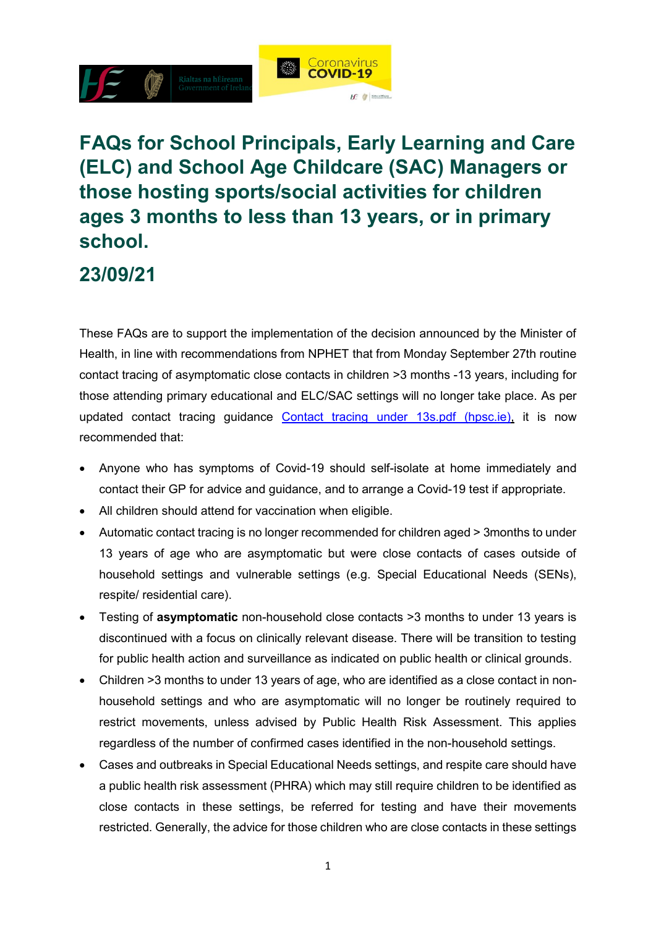

# **FAQs for School Principals, Early Learning and Care (ELC) and School Age Childcare (SAC) Managers or those hosting sports/social activities for children ages 3 months to less than 13 years, or in primary school.**

#### **23/09/21**

These FAQs are to support the implementation of the decision announced by the Minister of Health, in line with recommendations from NPHET that from Monday September 27th routine contact tracing of asymptomatic close contacts in children >3 months -13 years, including for those attending primary educational and ELC/SAC settings will no longer take place. As per updated contact tracing guidance [Contact tracing under 13s.pdf \(hpsc.ie\),](https://www.hpsc.ie/a-z/respiratory/coronavirus/novelcoronavirus/guidance/contacttracingguidance/Contact%20tracing%20under%2013s.pdf) it is now recommended that:

- Anyone who has symptoms of Covid-19 should self-isolate at home immediately and contact their GP for advice and guidance, and to arrange a Covid-19 test if appropriate.
- All children should attend for vaccination when eligible.
- Automatic contact tracing is no longer recommended for children aged > 3months to under 13 years of age who are asymptomatic but were close contacts of cases outside of household settings and vulnerable settings (e.g. Special Educational Needs (SENs), respite/ residential care).
- Testing of **asymptomatic** non-household close contacts >3 months to under 13 years is discontinued with a focus on clinically relevant disease. There will be transition to testing for public health action and surveillance as indicated on public health or clinical grounds.
- Children >3 months to under 13 years of age, who are identified as a close contact in nonhousehold settings and who are asymptomatic will no longer be routinely required to restrict movements, unless advised by Public Health Risk Assessment. This applies regardless of the number of confirmed cases identified in the non-household settings.
- Cases and outbreaks in Special Educational Needs settings, and respite care should have a public health risk assessment (PHRA) which may still require children to be identified as close contacts in these settings, be referred for testing and have their movements restricted. Generally, the advice for those children who are close contacts in these settings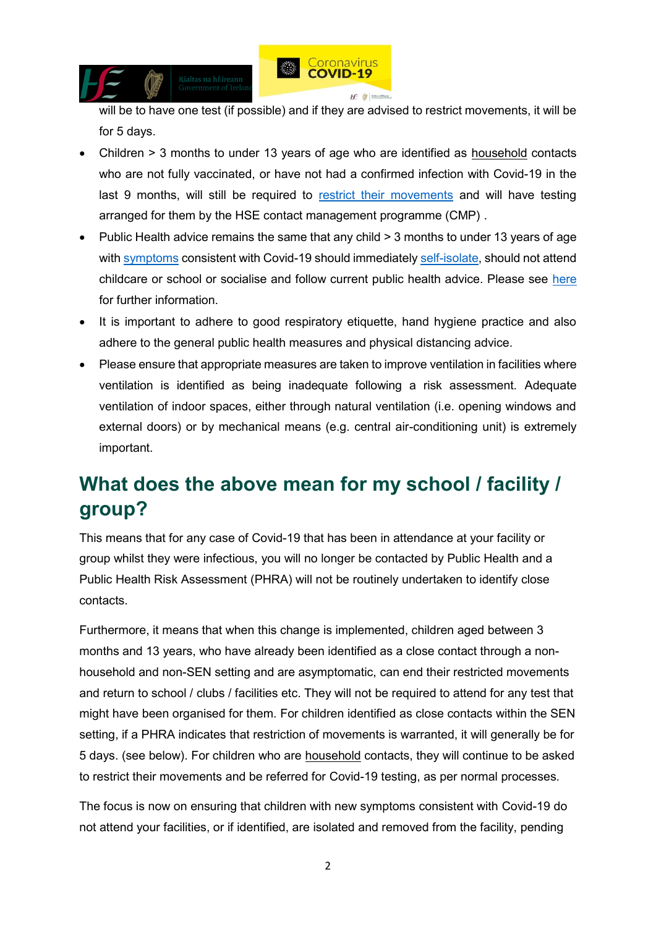

will be to have one test (if possible) and if they are advised to restrict movements, it will be for 5 days.

- Children > 3 months to under 13 years of age who are identified as household contacts who are not fully vaccinated, or have not had a confirmed infection with Covid-19 in the last 9 months, will still be required to [restrict their movements](https://www2.hse.ie/conditions/covid19/restricted-movements/restricted-movements/) and will have testing arranged for them by the HSE contact management programme (CMP) .
- Public Health advice remains the same that any child > 3 months to under 13 years of age with [symptoms](https://www2.hse.ie/conditions/covid19/symptoms/overview/) consistent with Covid-19 should immediatel[y self-isolate,](https://www2.hse.ie/conditions/covid19/restricted-movements/) should not attend childcare or school or socialise and follow current public health advice. Please see [here](https://www.hpsc.ie/a-z/respiratory/coronavirus/novelcoronavirus/algorithms/) for further information.
- It is important to adhere to good respiratory etiquette, hand hygiene practice and also adhere to the general public health measures and physical distancing advice.
- Please ensure that appropriate measures are taken to improve ventilation in facilities where ventilation is identified as being inadequate following a risk assessment. Adequate ventilation of indoor spaces, either through natural ventilation (i.e. opening windows and external doors) or by mechanical means (e.g. central air-conditioning unit) is extremely important.

# **What does the above mean for my school / facility / group?**

This means that for any case of Covid-19 that has been in attendance at your facility or group whilst they were infectious, you will no longer be contacted by Public Health and a Public Health Risk Assessment (PHRA) will not be routinely undertaken to identify close contacts.

Furthermore, it means that when this change is implemented, children aged between 3 months and 13 years, who have already been identified as a close contact through a nonhousehold and non-SEN setting and are asymptomatic, can end their restricted movements and return to school / clubs / facilities etc. They will not be required to attend for any test that might have been organised for them. For children identified as close contacts within the SEN setting, if a PHRA indicates that restriction of movements is warranted, it will generally be for 5 days. (see below). For children who are household contacts, they will continue to be asked to restrict their movements and be referred for Covid-19 testing, as per normal processes.

The focus is now on ensuring that children with new symptoms consistent with Covid-19 do not attend your facilities, or if identified, are isolated and removed from the facility, pending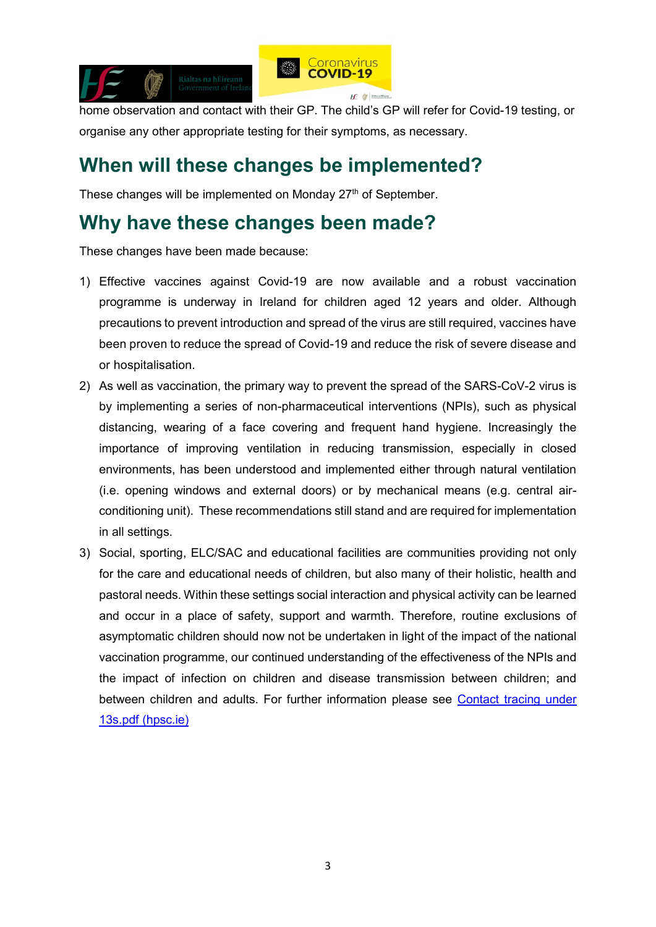

home observation and contact with their GP. The child's GP will refer for Covid-19 testing, or organise any other appropriate testing for their symptoms, as necessary.

#### **When will these changes be implemented?**

These changes will be implemented on Monday 27<sup>th</sup> of September.

#### **Why have these changes been made?**

These changes have been made because:

- 1) Effective vaccines against Covid-19 are now available and a robust vaccination programme is underway in Ireland for children aged 12 years and older. Although precautions to prevent introduction and spread of the virus are still required, vaccines have been proven to reduce the spread of Covid-19 and reduce the risk of severe disease and or hospitalisation.
- 2) As well as vaccination, the primary way to prevent the spread of the SARS-CoV-2 virus is by implementing a series of non-pharmaceutical interventions (NPIs), such as physical distancing, wearing of a face covering and frequent hand hygiene. Increasingly the importance of improving ventilation in reducing transmission, especially in closed environments, has been understood and implemented either through natural ventilation (i.e. opening windows and external doors) or by mechanical means (e.g. central airconditioning unit). These recommendations still stand and are required for implementation in all settings.
- 3) Social, sporting, ELC/SAC and educational facilities are communities providing not only for the care and educational needs of children, but also many of their holistic, health and pastoral needs. Within these settings social interaction and physical activity can be learned and occur in a place of safety, support and warmth. Therefore, routine exclusions of asymptomatic children should now not be undertaken in light of the impact of the national vaccination programme, our continued understanding of the effectiveness of the NPIs and the impact of infection on children and disease transmission between children; and between children and adults. For further information please see [Contact tracing under](https://www.hpsc.ie/a-z/respiratory/coronavirus/novelcoronavirus/guidance/contacttracingguidance/Contact%20tracing%20under%2013s.pdf)  [13s.pdf \(hpsc.ie\)](https://www.hpsc.ie/a-z/respiratory/coronavirus/novelcoronavirus/guidance/contacttracingguidance/Contact%20tracing%20under%2013s.pdf)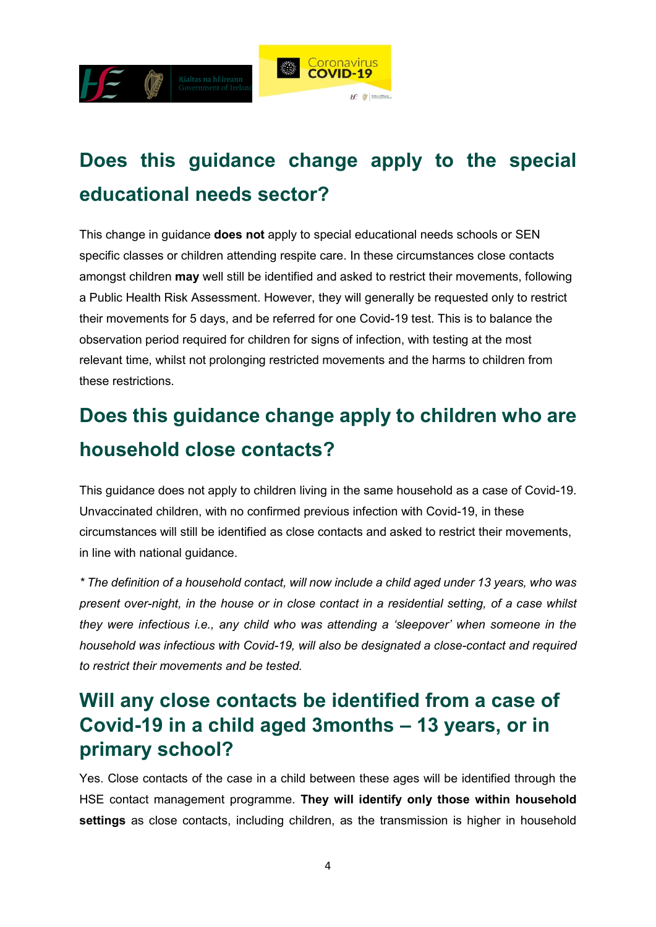

# **Does this guidance change apply to the special educational needs sector?**

This change in guidance **does not** apply to special educational needs schools or SEN specific classes or children attending respite care. In these circumstances close contacts amongst children **may** well still be identified and asked to restrict their movements, following a Public Health Risk Assessment. However, they will generally be requested only to restrict their movements for 5 days, and be referred for one Covid-19 test. This is to balance the observation period required for children for signs of infection, with testing at the most relevant time, whilst not prolonging restricted movements and the harms to children from these restrictions.

# **Does this guidance change apply to children who are household close contacts?**

This guidance does not apply to children living in the same household as a case of Covid-19. Unvaccinated children, with no confirmed previous infection with Covid-19, in these circumstances will still be identified as close contacts and asked to restrict their movements, in line with national guidance.

*\* The definition of a household contact, will now include a child aged under 13 years, who was present over-night, in the house or in close contact in a residential setting, of a case whilst they were infectious i.e., any child who was attending a 'sleepover' when someone in the household was infectious with Covid-19, will also be designated a close-contact and required to restrict their movements and be tested.* 

### **Will any close contacts be identified from a case of Covid-19 in a child aged 3months – 13 years, or in primary school?**

Yes. Close contacts of the case in a child between these ages will be identified through the HSE contact management programme. **They will identify only those within household settings** as close contacts, including children, as the transmission is higher in household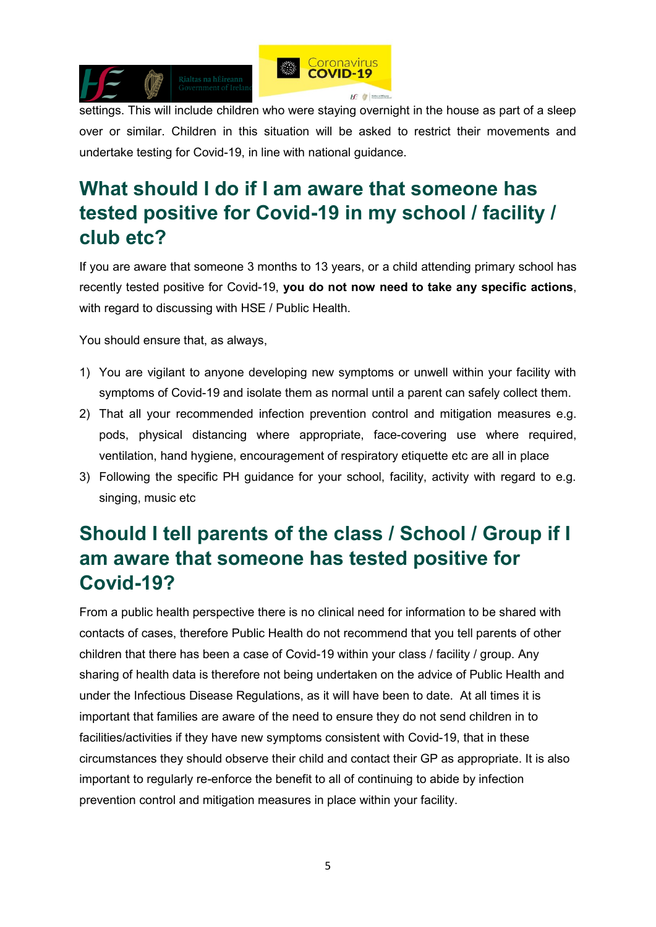

settings. This will include children who were staying overnight in the house as part of a sleep over or similar. Children in this situation will be asked to restrict their movements and undertake testing for Covid-19, in line with national guidance.

## **What should I do if I am aware that someone has tested positive for Covid-19 in my school / facility / club etc?**

If you are aware that someone 3 months to 13 years, or a child attending primary school has recently tested positive for Covid-19, **you do not now need to take any specific actions**, with regard to discussing with HSE / Public Health.

You should ensure that, as always,

- 1) You are vigilant to anyone developing new symptoms or unwell within your facility with symptoms of Covid-19 and isolate them as normal until a parent can safely collect them.
- 2) That all your recommended infection prevention control and mitigation measures e.g. pods, physical distancing where appropriate, face-covering use where required, ventilation, hand hygiene, encouragement of respiratory etiquette etc are all in place
- 3) Following the specific PH guidance for your school, facility, activity with regard to e.g. singing, music etc

# **Should I tell parents of the class / School / Group if I am aware that someone has tested positive for Covid-19?**

From a public health perspective there is no clinical need for information to be shared with contacts of cases, therefore Public Health do not recommend that you tell parents of other children that there has been a case of Covid-19 within your class / facility / group. Any sharing of health data is therefore not being undertaken on the advice of Public Health and under the Infectious Disease Regulations, as it will have been to date. At all times it is important that families are aware of the need to ensure they do not send children in to facilities/activities if they have new symptoms consistent with Covid-19, that in these circumstances they should observe their child and contact their GP as appropriate. It is also important to regularly re-enforce the benefit to all of continuing to abide by infection prevention control and mitigation measures in place within your facility.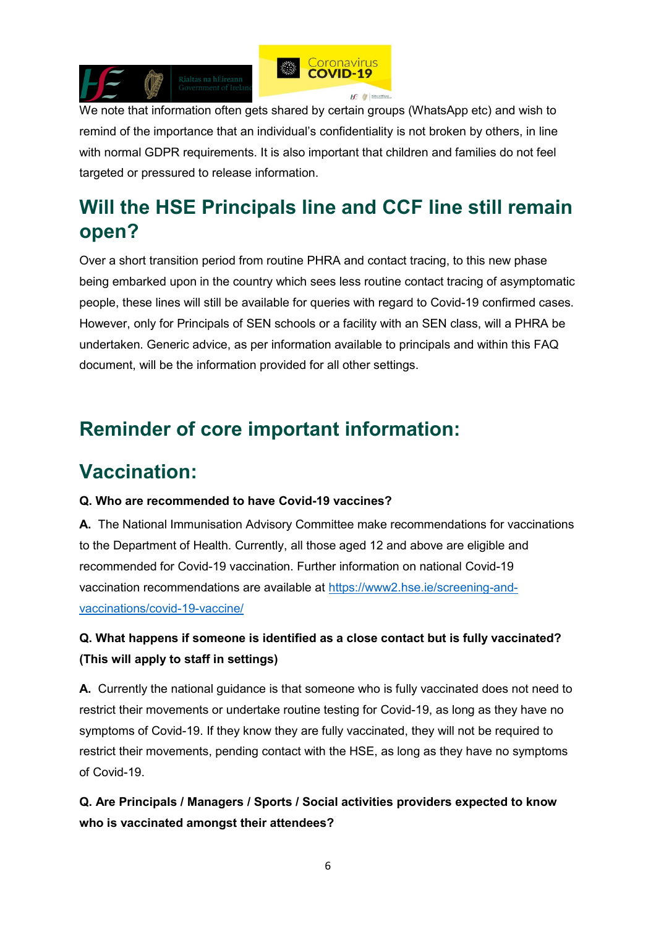



We note that information often gets shared by certain groups (WhatsApp etc) and wish to remind of the importance that an individual's confidentiality is not broken by others, in line with normal GDPR requirements. It is also important that children and families do not feel targeted or pressured to release information.

# **Will the HSE Principals line and CCF line still remain open?**

Over a short transition period from routine PHRA and contact tracing, to this new phase being embarked upon in the country which sees less routine contact tracing of asymptomatic people, these lines will still be available for queries with regard to Covid-19 confirmed cases. However, only for Principals of SEN schools or a facility with an SEN class, will a PHRA be undertaken. Generic advice, as per information available to principals and within this FAQ document, will be the information provided for all other settings.

# **Reminder of core important information:**

### **Vaccination:**

#### **Q. Who are recommended to have Covid-19 vaccines?**

**A.** The National Immunisation Advisory Committee make recommendations for vaccinations to the Department of Health. Currently, all those aged 12 and above are eligible and recommended for Covid-19 vaccination. Further information on national Covid-19 vaccination recommendations are available at [https://www2.hse.ie/screening-and](https://www2.hse.ie/screening-and-vaccinations/covid-19-vaccine/)[vaccinations/covid-19-vaccine/](https://www2.hse.ie/screening-and-vaccinations/covid-19-vaccine/)

#### **Q. What happens if someone is identified as a close contact but is fully vaccinated? (This will apply to staff in settings)**

**A.** Currently the national guidance is that someone who is fully vaccinated does not need to restrict their movements or undertake routine testing for Covid-19, as long as they have no symptoms of Covid-19. If they know they are fully vaccinated, they will not be required to restrict their movements, pending contact with the HSE, as long as they have no symptoms of Covid-19.

**Q. Are Principals / Managers / Sports / Social activities providers expected to know who is vaccinated amongst their attendees?**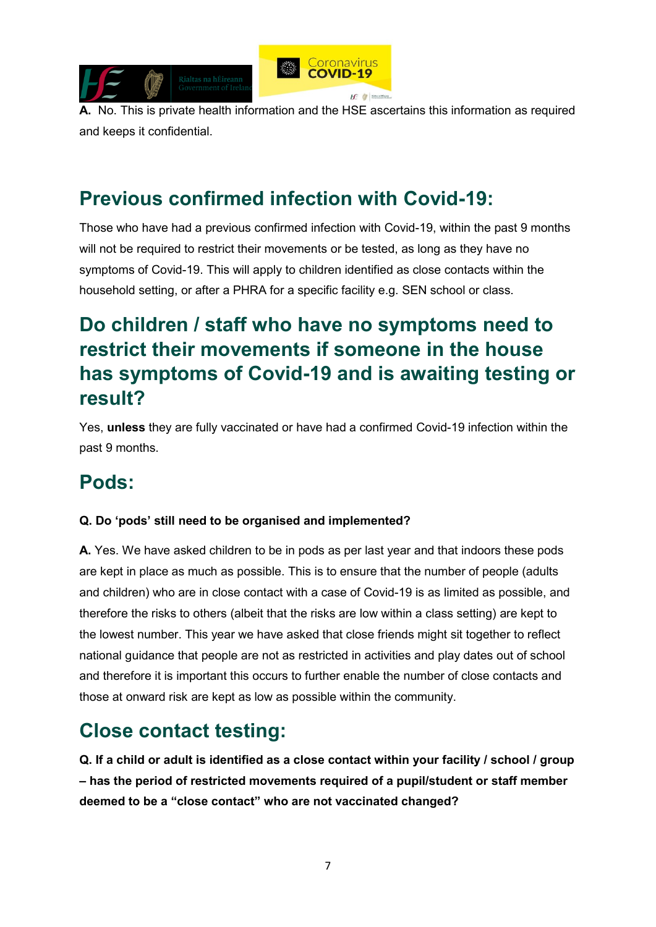

**A.** No. This is private health information and the HSE ascertains this information as required and keeps it confidential.

### **Previous confirmed infection with Covid-19:**

Those who have had a previous confirmed infection with Covid-19, within the past 9 months will not be required to restrict their movements or be tested, as long as they have no symptoms of Covid-19. This will apply to children identified as close contacts within the household setting, or after a PHRA for a specific facility e.g. SEN school or class.

# **Do children / staff who have no symptoms need to restrict their movements if someone in the house has symptoms of Covid-19 and is awaiting testing or result?**

Yes, **unless** they are fully vaccinated or have had a confirmed Covid-19 infection within the past 9 months.

### **Pods:**

#### **Q. Do 'pods' still need to be organised and implemented?**

**A.** Yes. We have asked children to be in pods as per last year and that indoors these pods are kept in place as much as possible. This is to ensure that the number of people (adults and children) who are in close contact with a case of Covid-19 is as limited as possible, and therefore the risks to others (albeit that the risks are low within a class setting) are kept to the lowest number. This year we have asked that close friends might sit together to reflect national guidance that people are not as restricted in activities and play dates out of school and therefore it is important this occurs to further enable the number of close contacts and those at onward risk are kept as low as possible within the community.

# **Close contact testing:**

**Q. If a child or adult is identified as a close contact within your facility / school / group – has the period of restricted movements required of a pupil/student or staff member deemed to be a "close contact" who are not vaccinated changed?**